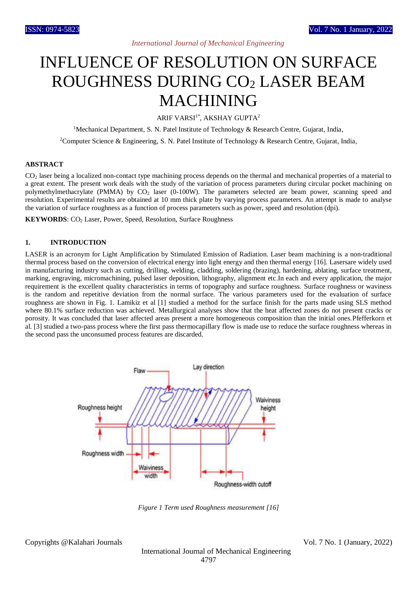# INFLUENCE OF RESOLUTION ON SURFACE ROUGHNESS DURING CO<sub>2</sub> LASER BEAM MACHINING

ARIF VARSI<sup>1\*</sup>, AKSHAY GUPTA<sup>2</sup>

<sup>1</sup>Mechanical Department, S. N. Patel Institute of Technology & Research Centre, Gujarat, India,

<sup>2</sup>Computer Science & Engineering, S. N. Patel Institute of Technology & Research Centre, Gujarat, India,

### **ABSTRACT**

CO<sup>2</sup> laser being a localized non-contact type machining process depends on the thermal and mechanical properties of a material to a great extent. The present work deals with the study of the variation of process parameters during circular pocket machining on polymethylmethacrylate (PMMA) by CO<sub>2</sub> laser (0-100W). The parameters selected are beam power, scanning speed and resolution. Experimental results are obtained at 10 mm thick plate by varying process parameters. An attempt is made to analyse the variation of surface roughness as a function of process parameters such as power, speed and resolution (dpi).

**KEYWORDS:** CO<sub>2</sub> Laser, Power, Speed, Resolution, Surface Roughness

#### **1. INTRODUCTION**

LASER is an acronym for Light Amplification by Stimulated Emission of Radiation. Laser beam machining is a non-traditional thermal process based on the conversion of electrical energy into light energy and then thermal energy [16]. Lasersare widely used in manufacturing industry such as cutting, drilling, welding, cladding, soldering (brazing), hardening, ablating, surface treatment, marking, engraving, micromachining, pulsed laser deposition, lithography, alignment etc.In each and every application, the major requirement is the excellent quality characteristics in terms of topography and surface roughness. Surface roughness or waviness is the random and repetitive deviation from the normal surface. The various parameters used for the evaluation of surface roughness are shown in Fig. 1. Lamikiz et al [1] studied a method for the surface finish for the parts made using SLS method where 80.1% surface reduction was achieved. Metallurgical analyses show that the heat affected zones do not present cracks or porosity. It was concluded that laser affected areas present a more homogeneous composition than the initial ones.Pfefferkorn et al. [3] studied a two-pass process where the first pass thermocapillary flow is made use to reduce the surface roughness whereas in the second pass the unconsumed process features are discarded.



*Figure 1 Term used Roughness measurement [16]*

Copyrights @Kalahari Journals Vol. 7 No. 1 (January, 2022)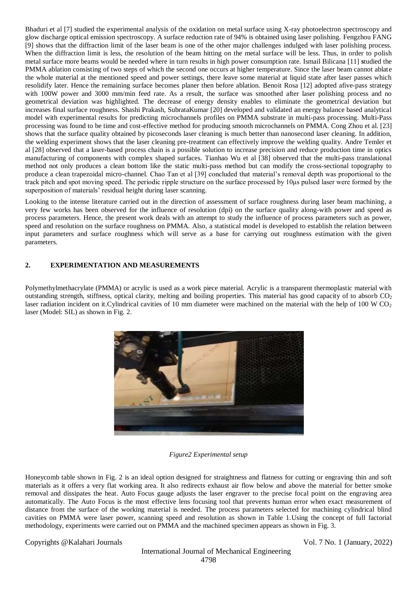Bhaduri et al [7] studied the experimental analysis of the oxidation on metal surface using X-ray photoelectron spectroscopy and glow discharge optical emission spectroscopy. A surface reduction rate of 94% is obtained using laser polishing. Fengzhou FANG [9] shows that the diffraction limit of the laser beam is one of the other major challenges indulged with laser polishing process. When the diffraction limit is less, the resolution of the beam hitting on the metal surface will be less. Thus, in order to polish metal surface more beams would be needed where in turn results in high power consumption rate. Ismail Bilicana [11] **s**tudied the PMMA ablation consisting of two steps of which the second one occurs at higher temperature. Since the laser beam cannot ablate the whole material at the mentioned speed and power settings, there leave some material at liquid state after laser passes which resolidify later. Hence the remaining surface becomes planer then before ablation. Benoit Rosa [12] adopted afive-pass strategy with 100W power and 3000 mm/min feed rate. As a result, the surface was smoothed after laser polishing process and no geometrical deviation was highlighted. The decrease of energy density enables to eliminate the geometrical deviation but increases final surface roughness. Shashi Prakash, SubrataKumar [20] developed and validated an energy balance based analytical model with experimental results for predicting microchannels profiles on PMMA substrate in multi-pass processing. Multi-Pass processing was found to be time and cost-effective method for producing smooth microchannels on PMMA. Cong Zhou et al. [23] shows that the surface quality obtained by picoseconds laser cleaning is much better than nanosecond laser cleaning. In addition, the welding experiment shows that the laser cleaning pre-treatment can effectively improve the welding quality. Andre Temler et al [28] observed that a laser-based process chain is a possible solution to increase precision and reduce production time in optics manufacturing of components with complex shaped surfaces. Tianhao Wu et al [38] observed that the multi-pass translational method not only produces a clean bottom like the static multi-pass method but can modify the cross-sectional topography to produce a clean trapezoidal micro-channel. Chao Tan et al [39] concluded that material's removal depth was proportional to the track pitch and spot moving speed. The periodic ripple structure on the surface processed by 10μs pulsed laser were formed by the superposition of materials' residual height during laser scanning.

Looking to the intense literature carried out in the direction of assessment of surface roughness during laser beam machining, a very few works has been observed for the influence of resolution (dpi) on the surface quality along-with power and speed as process parameters. Hence, the present work deals with an attempt to study the influence of process parameters such as power, speed and resolution on the surface roughness on PMMA. Also, a statistical model is developed to establish the relation between input parameters and surface roughness which will serve as a base for carrying out roughness estimation with the given parameters.

# **2. EXPERIMENTATION AND MEASUREMENTS**

Polymethylmethacrylate (PMMA) or acrylic is used as a work piece material. Acrylic is a transparent thermoplastic material with outstanding strength, stiffness, optical clarity, melting and boiling properties. This material has good capacity of to absorb  $CO<sub>2</sub>$ laser radiation incident on it. Cylindrical cavities of 10 mm diameter were machined on the material with the help of 100 W  $CO<sub>2</sub>$ laser (Model: SIL) as shown in Fig. 2.



# *Figure2 Experimental setup*

Honeycomb table shown in Fig. 2 is an ideal option designed for straightness and flatness for cutting or engraving thin and soft materials as it offers a very flat working area. It also redirects exhaust air flow below and above the material for better smoke removal and dissipates the heat. Auto Focus gauge adjusts the laser engraver to the precise focal point on the engraving area automatically. The Auto Focus is the most effective lens focusing tool that prevents human error when exact measurement of distance from the surface of the working material is needed. The process parameters selected for machining cylindrical blind cavities on PMMA were laser power, scanning speed and resolution as shown in Table 1.Using the concept of full factorial methodology, experiments were carried out on PMMA and the machined specimen appears as shown in Fig. 3.

Copyrights @Kalahari Journals Vol. 7 No. 1 (January, 2022)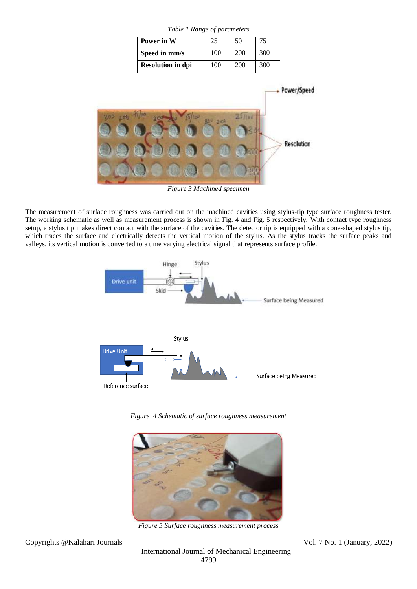| Table 1 Range of parameters |     |     |     |  |  |
|-----------------------------|-----|-----|-----|--|--|
| Power in W                  | 25  | 50  | 75  |  |  |
| Speed in mm/s               | 100 | 200 | 300 |  |  |
| <b>Resolution in dpi</b>    | 100 | 200 | 300 |  |  |

Power/Speed **Resolution** 

*Figure 3 Machined specimen*

The measurement of surface roughness was carried out on the machined cavities using stylus-tip type surface roughness tester. The working schematic as well as measurement process is shown in Fig. 4 and Fig. 5 respectively. With contact type roughness setup, a stylus tip makes direct contact with the surface of the cavities. The detector tip is equipped with a cone-shaped stylus tip, which traces the surface and electrically detects the vertical motion of the stylus. As the stylus tracks the surface peaks and valleys, its vertical motion is converted to a time varying electrical signal that represents surface profile.



*Figure 4 Schematic of surface roughness measurement*



*Figure 5 Surface roughness measurement process*

Copyrights @Kalahari Journals Vol. 7 No. 1 (January, 2022)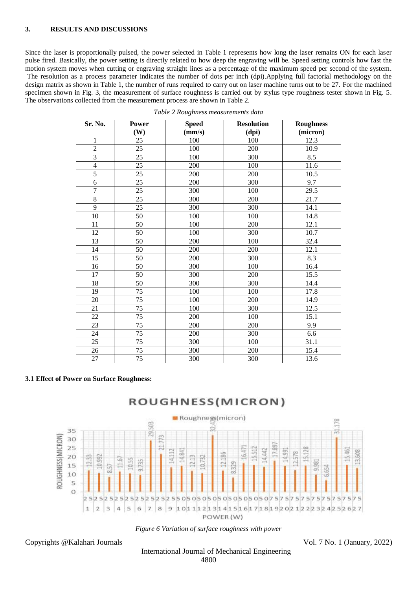#### **3. RESULTS AND DISCUSSIONS**

Since the laser is proportionally pulsed, the power selected in Table 1 represents how long the laser remains ON for each laser pulse fired. Basically, the power setting is directly related to how deep the engraving will be. Speed setting controls how fast the motion system moves when cutting or engraving straight lines as a percentage of the maximum speed per second of the system. The resolution as a process parameter indicates the number of dots per inch (dpi).Applying full factorial methodology on the design matrix as shown in Table 1, the number of runs required to carry out on laser machine turns out to be 27. For the machined specimen shown in Fig. 3, the measurement of surface roughness is carried out by stylus type roughness tester shown in Fig. 5. The observations collected from the measurement process are shown in Table 2.

| Sr. No.        | <b>Power</b> | <b>Speed</b> | <b>Resolution</b> | <b>Roughness</b> |
|----------------|--------------|--------------|-------------------|------------------|
|                | (W)          | (mm/s)       | (dpi)             | (micron)         |
| $\mathbf{1}$   | 25           | 100          | 100               | 12.3             |
| $\overline{2}$ | 25           | 100          | 200               | 10.9             |
| 3              | 25           | 100          | 300               | 8.5              |
| $\overline{4}$ | 25           | 200          | 100               | 11.6             |
| $\overline{5}$ | 25           | 200          | 200               | 10.5             |
| 6              | 25           | 200          | 300               | 9.7              |
| $\overline{7}$ | 25           | 300          | 100               | 29.5             |
| $\overline{8}$ | 25           | 300          | 200               | 21.7             |
| $\overline{9}$ | 25           | 300          | 300               | 14.1             |
| 10             | 50           | 100          | 100               | 14.8             |
| 11             | 50           | 100          | 200               | 12.1             |
| 12             | 50           | 100          | 300               | 10.7             |
| 13             | 50           | 200          | 100               | 32.4             |
| 14             | 50           | 200          | 200               | 12.1             |
| 15             | 50           | 200          | 300               | 8.3              |
| 16             | 50           | 300          | 100               | 16.4             |
| 17             | 50           | 300          | 200               | 15.5             |
| 18             | 50           | 300          | 300               | 14.4             |
| 19             | 75           | 100          | 100               | 17.8             |
| 20             | 75           | 100          | 200               | 14.9             |
| 21             | 75           | 100          | 300               | 12.5             |
| 22             | 75           | 200          | 100               | 15.1             |
| 23             | 75           | 200          | 200               | 9.9              |
| 24             | 75           | 200          | 300               | 6.6              |
| 25             | 75           | 300          | 100               | 31.1             |
| 26             | 75           | 300          | 200               | 15.4             |
| 27             | 75           | 300          | 300               | 13.6             |



#### **3.1 Effect of Power on Surface Roughness:**



# ROUGHNESS(MICRON)

*Figure 6 Variation of surface roughness with power*

Copyrights @Kalahari Journals Vol. 7 No. 1 (January, 2022)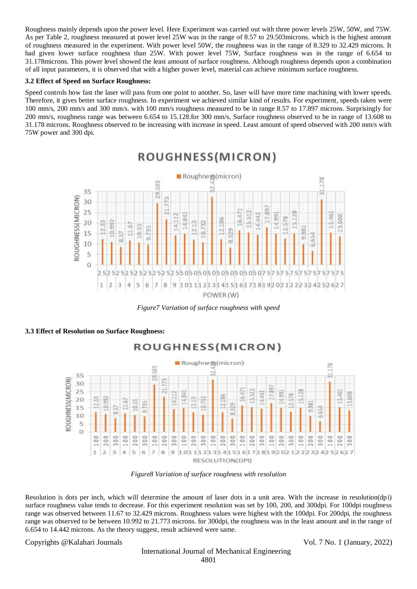Roughness mainly depends upon the power level. Here Experiment was carried out with three power levels 25W, 50W, and 75W. As per Table 2, roughness measured at power level 25W was in the range of 8.57 to 29.503microns. which is the highest amount of roughness measured in the experiment. With power level 50W, the roughness was in the range of 8.329 to 32.429 microns. It had given lower surface roughness than 25W. With power level 75W, Surface roughness was in the range of 6.654 to 31.178microns. This power level showed the least amount of surface roughness. Although roughness depends upon a combination of all input parameters, it is observed that with a higher power level, material can achieve minimum surface roughness.

#### **3.2 Effect of Speed on Surface Roughness:**

Speed controls how fast the laser will pass from one point to another. So, laser will have more time machining with lower speeds. Therefore, it gives better surface roughness. In experiment we achieved similar kind of results. For experiment, speeds taken were 100 mm/s, 200 mm/s and 300 mm/s. with 100 mm/s roughness measured to be in range 8.57 to 17.897 microns. Surprisingly for 200 mm/s, roughness range was between 6.654 to 15.128.for 300 mm/s, Surface roughness observed to be in range of 13.608 to 31.178 microns. Roughness observed to be increasing with increase in speed. Least amount of speed observed with 200 mm/s with 75W power and 300 dpi.



*Figure7 Variation of surface roughness with speed*

#### **3.3 Effect of Resolution on Surface Roughness:**



#### *Figure8 Variation of surface roughness with resolution*

Resolution is dots per inch, which will determine the amount of laser dots in a unit area. With the increase in resolution(dpi) surface roughness value tends to decrease. For this experiment resolution was set by 100, 200, and 300dpi. For 100dpi roughness range was observed between 11.67 to 32.429 microns. Roughness values were highest with the 100dpi. For 200dpi, the roughness range was observed to be between 10.992 to 21.773 microns. for 300dpi, the roughness was in the least amount and in the range of 6.654 to 14.442 microns. As the theory suggest, result achieved were same.

Copyrights @Kalahari Journals Vol. 7 No. 1 (January, 2022)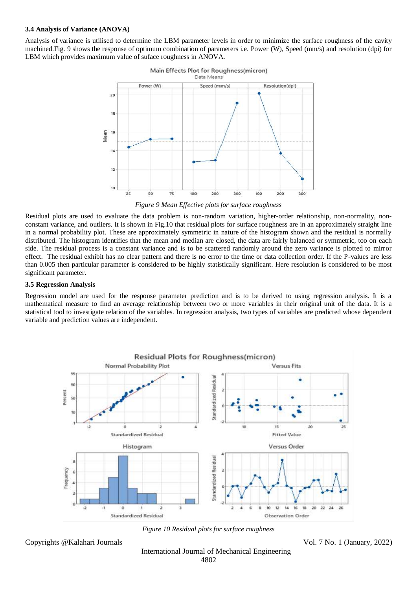#### **3.4 Analysis of Variance (ANOVA)**

Analysis of variance is utilised to determine the LBM parameter levels in order to minimize the surface roughness of the cavity machined.Fig. 9 shows the response of optimum combination of parameters i.e. Power (W), Speed (mm/s) and resolution (dpi) for LBM which provides maximum value of suface roughness in ANOVA.



*Figure 9 Mean Effective plots for surface roughness*

Residual plots are used to evaluate the data problem is non-random variation, higher-order relationship, non-normality, nonconstant variance, and outliers. It is shown in Fig.10 that residual plots for surface roughness are in an approximately straight line in a normal probability plot. These are approximately symmetric in nature of the histogram shown and the residual is normally distributed. The histogram identifies that the mean and median are closed, the data are fairly balanced or symmetric, too on each side. The residual process is a constant variance and is to be scattered randomly around the zero variance is plotted to mirror effect. The residual exhibit has no clear pattern and there is no error to the time or data collection order. If the P-values are less than 0.005 then particular parameter is considered to be highly statistically significant. Here resolution is considered to be most significant parameter.

#### **3.5 Regression Analysis**

Regression model are used for the response parameter prediction and is to be derived to using regression analysis. It is a mathematical measure to find an average relationship between two or more variables in their original unit of the data. It is a statistical tool to investigate relation of the variables. In regression analysis, two types of variables are predicted whose dependent variable and prediction values are independent.



*Figure 10 Residual plots for surface roughness*

Copyrights @Kalahari Journals Vol. 7 No. 1 (January, 2022)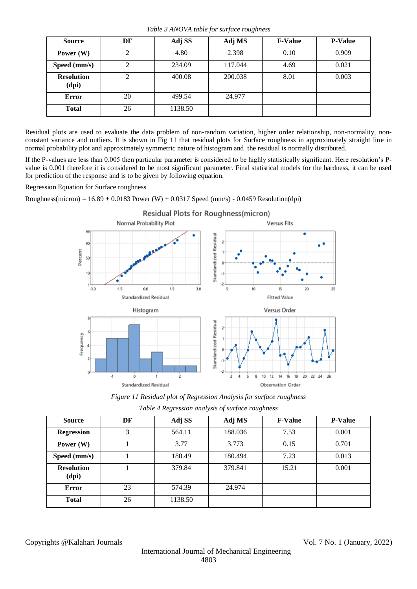*Table 3 ANOVA table for surface roughness*

| <b>Source</b>              | DF       | Adj SS  | Adj MS  | <b>F-Value</b> | <b>P-Value</b> |
|----------------------------|----------|---------|---------|----------------|----------------|
| Power $(W)$                | $\gamma$ | 4.80    | 2.398   | 0.10           | 0.909          |
| Speed (mm/s)               |          | 234.09  | 117.044 | 4.69           | 0.021          |
| <b>Resolution</b><br>(dpi) | റ        | 400.08  | 200.038 | 8.01           | 0.003          |
| <b>Error</b>               | 20       | 499.54  | 24.977  |                |                |
| <b>Total</b>               | 26       | 1138.50 |         |                |                |

Residual plots are used to evaluate the data problem of non-random variation, higher order relationship, non-normality, nonconstant variance and outliers. It is shown in Fig 11 that residual plots for Surface roughness in approximately straight line in normal probability plot and approximately symmetric nature of histogram and the residual is normally distributed.

If the P-values are less than 0.005 then particular parameter is considered to be highly statistically significant. Here resolution's Pvalue is 0.001 therefore it is considered to be most significant parameter. Final statistical models for the hardness, it can be used for prediction of the response and is to be given by following equation.

Regression Equation for Surface roughness

Roughness(micron) =  $16.89 + 0.0183$  Power (W) + 0.0317 Speed (mm/s) - 0.0459 Resolution(dpi)



Residual Plots for Roughness(micron)

*Figure 11 Residual plot of Regression Analysis for surface roughness*

| Table 4 Regression analysis of surface roughness |  |  |
|--------------------------------------------------|--|--|
|                                                  |  |  |
|                                                  |  |  |

| <b>Source</b>              | DF | Adj SS  | Adj MS  | <b>F-Value</b> | <b>P-Value</b> |
|----------------------------|----|---------|---------|----------------|----------------|
| <b>Regression</b>          | 3  | 564.11  | 188.036 | 7.53           | 0.001          |
| Power $(W)$                |    | 3.77    | 3.773   | 0.15           | 0.701          |
| Speed (mm/s)               |    | 180.49  | 180.494 | 7.23           | 0.013          |
| <b>Resolution</b><br>(dpi) |    | 379.84  | 379.841 | 15.21          | 0.001          |
| <b>Error</b>               | 23 | 574.39  | 24.974  |                |                |
| <b>Total</b>               | 26 | 1138.50 |         |                |                |

Copyrights @Kalahari Journals Vol. 7 No. 1 (January, 2022)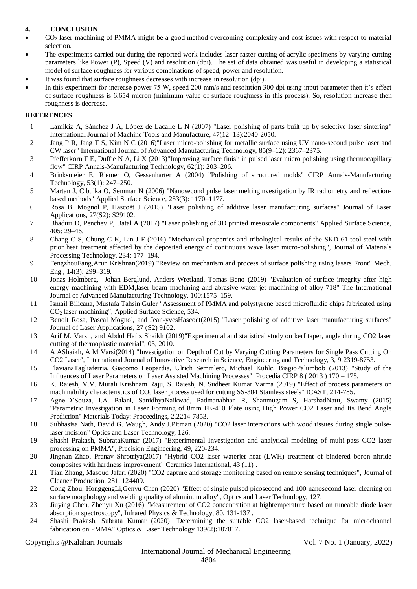# **4. CONCLUSION**

- CO<sub>2</sub> laser machining of PMMA might be a good method overcoming complexity and cost issues with respect to material selection.
- The experiments carried out during the reported work includes laser raster cutting of acrylic specimens by varying cutting parameters like Power (P), Speed (V) and resolution (dpi). The set of data obtained was useful in developing a statistical model of surface roughness for various combinations of speed, power and resolution.
- It was found that surface roughness decreases with increase in resolution (dpi).
- In this experiment for increase power 75 W, speed 200 mm/s and resolution 300 dpi using input parameter then it's effect of surface roughness is 6.654 micron (minimum value of surface roughness in this process). So, resolution increase then roughness is decrease.

## **REFERENCES**

- 1 Lamikiz A, Sánchez J A, López de Lacalle L N (2007) "Laser polishing of parts built up by selective laser sintering" International Journal of Machine Tools and Manufacture, 47(12–13):2040-2050.
- 2 Jang P R, Jang T S, Kim N C (2016)"Laser micro-polishing for metallic surface using UV nano-second pulse laser and CW laser" International Journal of Advanced Manufacturing Technology, 85(9–12): 2367–2375.
- 3 Pfefferkorn F E, Duffie N A, Li X (2013)"Improving surface finish in pulsed laser micro polishing using thermocapillary flow" CIRP Annals-Manufacturing Technology, 62(1): 203–206.
- 4 Brinksmeier E, Riemer O, Gessenharter A (2004) "Polishing of structured molds" CIRP Annals-Manufacturing Technology, 53(1): 247–250.
- 5 Martan J, Cibulka O, Semmar N (2006) "Nanosecond pulse laser meltinginvestigation by IR radiometry and reflectionbased methods" Applied Surface Science, 253(3): 1170–1177.
- 6 Rosa B, Mognol P, Hascoët J (2015) "Laser polishing of additive laser manufacturing surfaces" Journal of Laser Applications, 27(S2): S29102.
- 7 Bhaduri D, Penchev P, Batal A (2017) "Laser polishing of 3D printed mesoscale components" Applied Surface Science, 405: 29–46.
- 8 Chang C S, Chung C K, Lin J F (2016) "Mechanical properties and tribological results of the SKD 61 tool steel with prior heat treatment affected by the deposited energy of continuous wave laser micro-polishing", Journal of Materials Processing Technology, 234: 177–194.
- 9 FengzhouFang,Arun Krishnan(2019) "Review on mechanism and process of surface polishing using lasers Front" Mech. Eng., 14(3): 299–319.
- 10 Jonas Holmberg, Johan Berglund, Anders Wretland, Tomas Beno (2019) "Evaluation of surface integrity after high energy machining with EDM,laser beam machining and abrasive water jet machining of alloy 718" The International Journal of Advanced Manufacturing Technology, 100:1575–159.
- 11 Ismail Bilicana, Mustafa Tahsin Guler "Assessment of PMMA and polystyrene based microfluidic chips fabricated using CO<sup>2</sup> laser machining", Applied Surface Science, 534.
- 12 Benoit Rosa, Pascal Mognol, and Jean-yvesHascoët(2015) "Laser polishing of additive laser manufacturing surfaces" Journal of Laser Applications, 27 (S2) 9102.
- 13 Arif M. Varsi , and Abdul Hafiz Shaikh (2019)"Experimental and statistical study on kerf taper, angle during CO2 laser cutting of thermoplastic material", 03, 2010.
- 14 A AShaikh, A M Varsi(2014) "Investigation on Depth of Cut by Varying Cutting Parameters for Single Pass Cutting On CO2 Laser", International Journal of Innovative Research in Science, Engineering and Technology, 3, 9,2319-8753.
- 15 FlavianaTagliaferria, Giacomo Leopardia, Ulrich Semmlerc, Michael Kuhlc, BiagioPalumbob (2013) "Study of the Influences of Laser Parameters on Laser Assisted Machining Processes" Procedia CIRP 8 ( 2013 ) 170 – 175.
- 16 K. Rajesh, V.V. Murali Krishnam Raju, S. Rajesh, N. Sudheer Kumar Varma (2019) "Effect of process parameters on machinability characteristics of  $CO<sub>2</sub>$  laser process used for cutting SS-304 Stainless steels" ICAST, 214-785.
- 17 AgnelD'Souza, I.A. Palani, SanidhyaNaikwad, Padmanabhan R, Shanmugam S, HarshadNatu, Swamy (2015) "Parametric Investigation in Laser Forming of 8mm FE-410 Plate using High Power CO2 Laser and Its Bend Angle Prediction" Materials Today: Proceedings, 2,2214-7853.
- 18 Subhasisa Nath, David G. Waugh, Andy J.Pitman (2020) "CO2 laser interactions with wood tissues during single pulselaser incision" Optics and Laser Technology, 126.
- 19 Shashi Prakash, SubrataKumar (2017) "Experimental Investigation and analytical modeling of multi-pass CO2 laser processing on PMMA", [Precision Engineering,](https://www.infona.pl/resource/bwmeta1.element.elsevier-e285c8a2-d1d1-3b04-8c25-a066571e880b/tab/jContent) 49, 220-234.
- 20 Jingnan Zhao, Pranav Shrotriya(2017) "Hybrid CO2 laser waterjet heat (LWH) treatment of bindered boron nitride composites with hardness improvement" Ceramics International, 43 (11) .
- 21 Tian Zhang, Masoud Jafari (2020) "CO2 capture and storage monitoring based on remote sensing techniques", Journal of Cleaner Production, 281, 124409.
- 22 Cong Zhou, HonggengLi,Genyu Chen (2020) "Effect of single pulsed picosecond and 100 nanosecond laser cleaning on surface morphology and welding quality of aluminum alloy", Optics and Laser Technology, 127.
- 23 Jiuying Chen, Zhenyu Xu (2016) "Measurement of CO2 concentration at hightemperature based on tuneable diode laser absorption spectroscopy", [Infrared Physics & Technology,](https://www.infona.pl/resource/bwmeta1.element.elsevier-677efa61-2dcb-3211-a07a-49bf20bb6864/tab/jContent) [80,](https://www.infona.pl/resource/bwmeta1.element.elsevier-677efa61-2dcb-3211-a07a-49bf20bb6864/tab/jContent/facet?field=%5ejournalYear%5ejournalVolume&value=%5e_02017%5e_00080) 131-137 .
- 24 Shashi Prakash, Subrata Kumar (2020) "Determining the suitable CO2 laser-based technique for microchannel fabrication on PMMA" [Optics & Laser Technology](https://www.researchgate.net/journal/Optics-Laser-Technology-0030-3992) 139(2):107017.

Copyrights @Kalahari Journals Vol. 7 No. 1 (January, 2022)